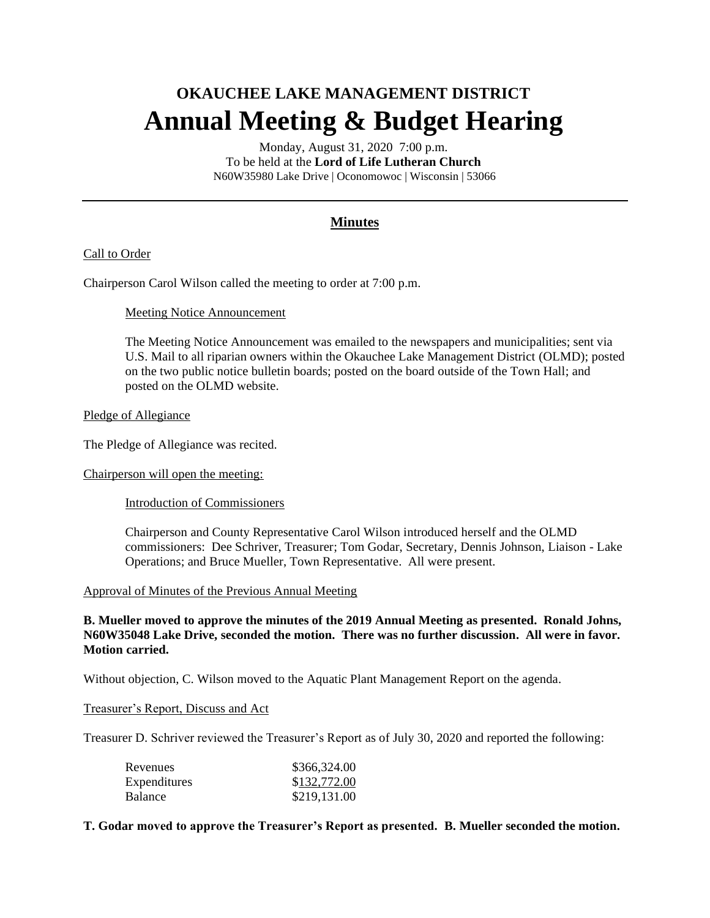# **OKAUCHEE LAKE MANAGEMENT DISTRICT Annual Meeting & Budget Hearing**

Monday, August 31, 2020 7:00 p.m. To be held at the **Lord of Life Lutheran Church**  N60W35980 Lake Drive | Oconomowoc | Wisconsin | 53066

## **Minutes**

## Call to Order

Chairperson Carol Wilson called the meeting to order at 7:00 p.m.

#### Meeting Notice Announcement

The Meeting Notice Announcement was emailed to the newspapers and municipalities; sent via U.S. Mail to all riparian owners within the Okauchee Lake Management District (OLMD); posted on the two public notice bulletin boards; posted on the board outside of the Town Hall; and posted on the OLMD website.

#### Pledge of Allegiance

The Pledge of Allegiance was recited.

#### Chairperson will open the meeting:

Introduction of Commissioners

Chairperson and County Representative Carol Wilson introduced herself and the OLMD commissioners: Dee Schriver, Treasurer; Tom Godar, Secretary, Dennis Johnson, Liaison - Lake Operations; and Bruce Mueller, Town Representative. All were present.

## Approval of Minutes of the Previous Annual Meeting

**B. Mueller moved to approve the minutes of the 2019 Annual Meeting as presented. Ronald Johns, N60W35048 Lake Drive, seconded the motion. There was no further discussion. All were in favor. Motion carried.**

Without objection, C. Wilson moved to the Aquatic Plant Management Report on the agenda.

#### Treasurer's Report, Discuss and Act

Treasurer D. Schriver reviewed the Treasurer's Report as of July 30, 2020 and reported the following:

| Revenues       | \$366,324.00 |
|----------------|--------------|
| Expenditures   | \$132,772.00 |
| <b>Balance</b> | \$219,131.00 |

## **T. Godar moved to approve the Treasurer's Report as presented. B. Mueller seconded the motion.**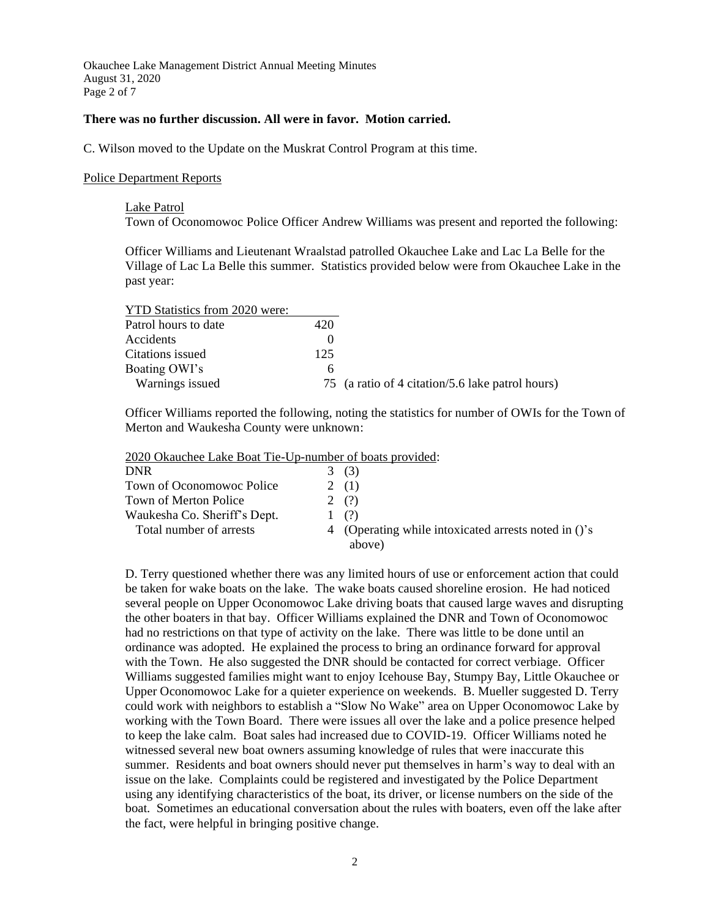Okauchee Lake Management District Annual Meeting Minutes August 31, 2020 Page 2 of 7

#### **There was no further discussion. All were in favor. Motion carried.**

C. Wilson moved to the Update on the Muskrat Control Program at this time.

#### Police Department Reports

#### Lake Patrol

Town of Oconomowoc Police Officer Andrew Williams was present and reported the following:

Officer Williams and Lieutenant Wraalstad patrolled Okauchee Lake and Lac La Belle for the Village of Lac La Belle this summer. Statistics provided below were from Okauchee Lake in the past year:

| <b>YTD Statistics from 2020 were:</b> |     |                                                  |
|---------------------------------------|-----|--------------------------------------------------|
| Patrol hours to date                  | 420 |                                                  |
| Accidents                             |     |                                                  |
| Citations issued                      | 125 |                                                  |
| Boating OWI's                         | h   |                                                  |
| Warnings issued                       |     | 75 (a ratio of 4 citation/5.6 lake patrol hours) |

Officer Williams reported the following, noting the statistics for number of OWIs for the Town of Merton and Waukesha County were unknown:

2020 Okauchee Lake Boat Tie-Up-number of boats provided:

| <b>DNR</b>                   | 3 | (3)                                                  |
|------------------------------|---|------------------------------------------------------|
| Town of Oconomowoc Police    |   | 2(1)                                                 |
| Town of Merton Police        |   | 2(?)                                                 |
| Waukesha Co. Sheriff's Dept. |   | (?)                                                  |
| Total number of arrests      |   | 4 (Operating while intoxicated arrests noted in ()'s |
|                              |   | above)                                               |

D. Terry questioned whether there was any limited hours of use or enforcement action that could be taken for wake boats on the lake. The wake boats caused shoreline erosion. He had noticed several people on Upper Oconomowoc Lake driving boats that caused large waves and disrupting the other boaters in that bay. Officer Williams explained the DNR and Town of Oconomowoc had no restrictions on that type of activity on the lake. There was little to be done until an ordinance was adopted. He explained the process to bring an ordinance forward for approval with the Town. He also suggested the DNR should be contacted for correct verbiage. Officer Williams suggested families might want to enjoy Icehouse Bay, Stumpy Bay, Little Okauchee or Upper Oconomowoc Lake for a quieter experience on weekends. B. Mueller suggested D. Terry could work with neighbors to establish a "Slow No Wake" area on Upper Oconomowoc Lake by working with the Town Board. There were issues all over the lake and a police presence helped to keep the lake calm. Boat sales had increased due to COVID-19. Officer Williams noted he witnessed several new boat owners assuming knowledge of rules that were inaccurate this summer. Residents and boat owners should never put themselves in harm's way to deal with an issue on the lake. Complaints could be registered and investigated by the Police Department using any identifying characteristics of the boat, its driver, or license numbers on the side of the boat. Sometimes an educational conversation about the rules with boaters, even off the lake after the fact, were helpful in bringing positive change.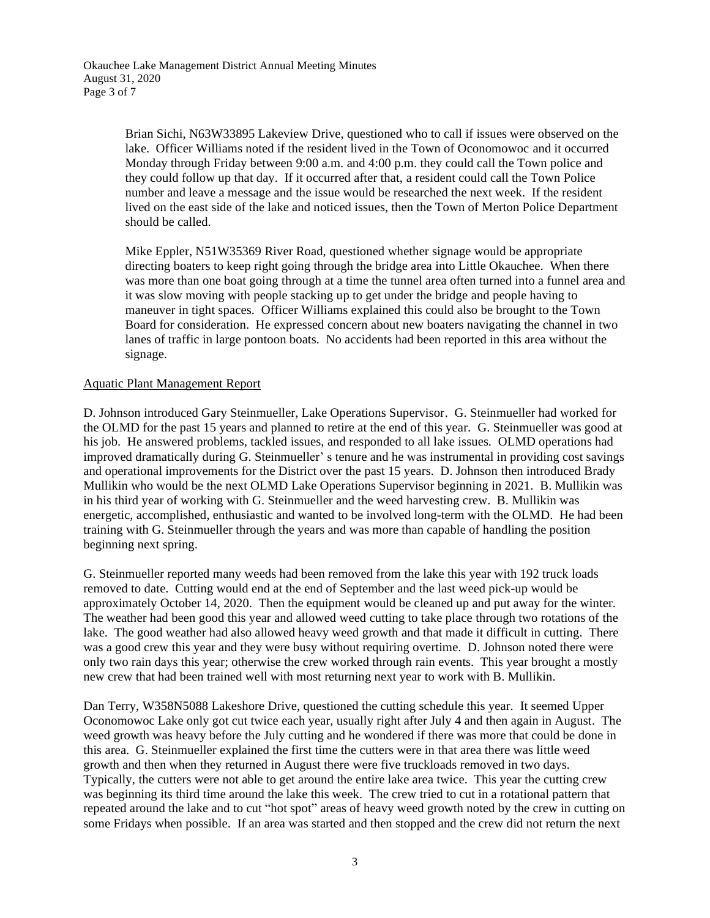Brian Sichi, N63W33895 Lakeview Drive, questioned who to call if issues were observed on the lake. Officer Williams noted if the resident lived in the Town of Oconomowoc and it occurred Monday through Friday between 9:00 a.m. and 4:00 p.m. they could call the Town police and they could follow up that day. If it occurred after that, a resident could call the Town Police number and leave a message and the issue would be researched the next week. If the resident lived on the east side of the lake and noticed issues, then the Town of Merton Police Department should be called.

Mike Eppler, N51W35369 River Road, questioned whether signage would be appropriate directing boaters to keep right going through the bridge area into Little Okauchee. When there was more than one boat going through at a time the tunnel area often turned into a funnel area and it was slow moving with people stacking up to get under the bridge and people having to maneuver in tight spaces. Officer Williams explained this could also be brought to the Town Board for consideration. He expressed concern about new boaters navigating the channel in two lanes of traffic in large pontoon boats. No accidents had been reported in this area without the signage.

#### Aquatic Plant Management Report

D. Johnson introduced Gary Steinmueller, Lake Operations Supervisor. G. Steinmueller had worked for the OLMD for the past 15 years and planned to retire at the end of this year. G. Steinmueller was good at his job. He answered problems, tackled issues, and responded to all lake issues. OLMD operations had improved dramatically during G. Steinmueller' s tenure and he was instrumental in providing cost savings and operational improvements for the District over the past 15 years. D. Johnson then introduced Brady Mullikin who would be the next OLMD Lake Operations Supervisor beginning in 2021. B. Mullikin was in his third year of working with G. Steinmueller and the weed harvesting crew. B. Mullikin was energetic, accomplished, enthusiastic and wanted to be involved long-term with the OLMD. He had been training with G. Steinmueller through the years and was more than capable of handling the position beginning next spring.

G. Steinmueller reported many weeds had been removed from the lake this year with 192 truck loads removed to date. Cutting would end at the end of September and the last weed pick-up would be approximately October 14, 2020. Then the equipment would be cleaned up and put away for the winter. The weather had been good this year and allowed weed cutting to take place through two rotations of the lake. The good weather had also allowed heavy weed growth and that made it difficult in cutting. There was a good crew this year and they were busy without requiring overtime. D. Johnson noted there were only two rain days this year; otherwise the crew worked through rain events. This year brought a mostly new crew that had been trained well with most returning next year to work with B. Mullikin.

Dan Terry, W358N5088 Lakeshore Drive, questioned the cutting schedule this year. It seemed Upper Oconomowoc Lake only got cut twice each year, usually right after July 4 and then again in August. The weed growth was heavy before the July cutting and he wondered if there was more that could be done in this area. G. Steinmueller explained the first time the cutters were in that area there was little weed growth and then when they returned in August there were five truckloads removed in two days. Typically, the cutters were not able to get around the entire lake area twice. This year the cutting crew was beginning its third time around the lake this week. The crew tried to cut in a rotational pattern that repeated around the lake and to cut "hot spot" areas of heavy weed growth noted by the crew in cutting on some Fridays when possible. If an area was started and then stopped and the crew did not return the next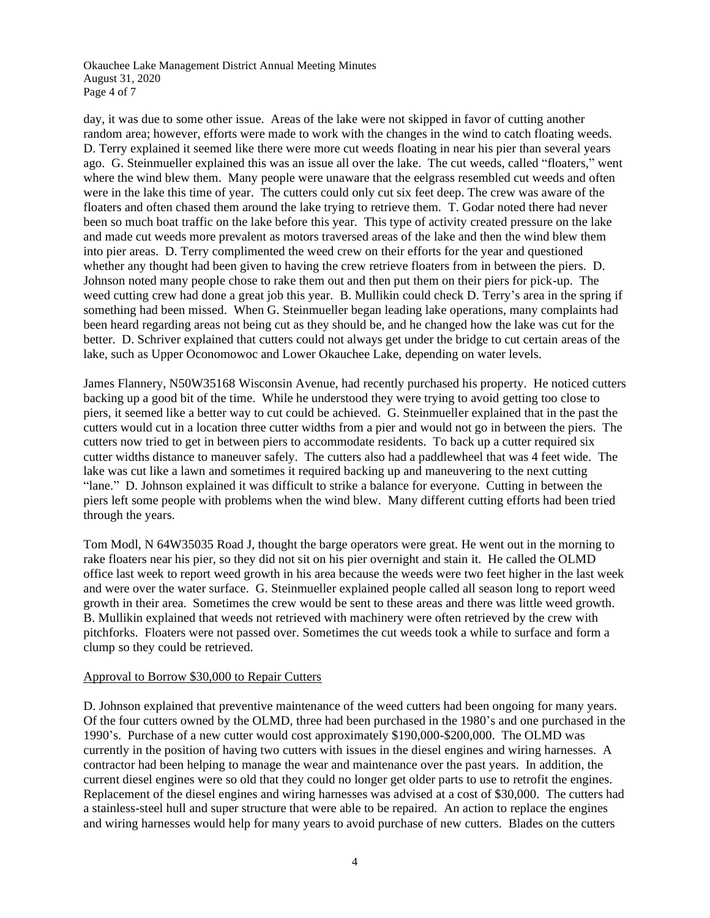Okauchee Lake Management District Annual Meeting Minutes August 31, 2020 Page 4 of 7

day, it was due to some other issue. Areas of the lake were not skipped in favor of cutting another random area; however, efforts were made to work with the changes in the wind to catch floating weeds. D. Terry explained it seemed like there were more cut weeds floating in near his pier than several years ago. G. Steinmueller explained this was an issue all over the lake. The cut weeds, called "floaters," went where the wind blew them. Many people were unaware that the eelgrass resembled cut weeds and often were in the lake this time of year. The cutters could only cut six feet deep. The crew was aware of the floaters and often chased them around the lake trying to retrieve them. T. Godar noted there had never been so much boat traffic on the lake before this year. This type of activity created pressure on the lake and made cut weeds more prevalent as motors traversed areas of the lake and then the wind blew them into pier areas. D. Terry complimented the weed crew on their efforts for the year and questioned whether any thought had been given to having the crew retrieve floaters from in between the piers. D. Johnson noted many people chose to rake them out and then put them on their piers for pick-up. The weed cutting crew had done a great job this year. B. Mullikin could check D. Terry's area in the spring if something had been missed. When G. Steinmueller began leading lake operations, many complaints had been heard regarding areas not being cut as they should be, and he changed how the lake was cut for the better. D. Schriver explained that cutters could not always get under the bridge to cut certain areas of the lake, such as Upper Oconomowoc and Lower Okauchee Lake, depending on water levels.

James Flannery, N50W35168 Wisconsin Avenue, had recently purchased his property. He noticed cutters backing up a good bit of the time. While he understood they were trying to avoid getting too close to piers, it seemed like a better way to cut could be achieved. G. Steinmueller explained that in the past the cutters would cut in a location three cutter widths from a pier and would not go in between the piers. The cutters now tried to get in between piers to accommodate residents. To back up a cutter required six cutter widths distance to maneuver safely. The cutters also had a paddlewheel that was 4 feet wide. The lake was cut like a lawn and sometimes it required backing up and maneuvering to the next cutting "lane." D. Johnson explained it was difficult to strike a balance for everyone. Cutting in between the piers left some people with problems when the wind blew. Many different cutting efforts had been tried through the years.

Tom Modl, N 64W35035 Road J, thought the barge operators were great. He went out in the morning to rake floaters near his pier, so they did not sit on his pier overnight and stain it. He called the OLMD office last week to report weed growth in his area because the weeds were two feet higher in the last week and were over the water surface. G. Steinmueller explained people called all season long to report weed growth in their area. Sometimes the crew would be sent to these areas and there was little weed growth. B. Mullikin explained that weeds not retrieved with machinery were often retrieved by the crew with pitchforks. Floaters were not passed over. Sometimes the cut weeds took a while to surface and form a clump so they could be retrieved.

## Approval to Borrow \$30,000 to Repair Cutters

D. Johnson explained that preventive maintenance of the weed cutters had been ongoing for many years. Of the four cutters owned by the OLMD, three had been purchased in the 1980's and one purchased in the 1990's. Purchase of a new cutter would cost approximately \$190,000-\$200,000. The OLMD was currently in the position of having two cutters with issues in the diesel engines and wiring harnesses. A contractor had been helping to manage the wear and maintenance over the past years. In addition, the current diesel engines were so old that they could no longer get older parts to use to retrofit the engines. Replacement of the diesel engines and wiring harnesses was advised at a cost of \$30,000. The cutters had a stainless-steel hull and super structure that were able to be repaired. An action to replace the engines and wiring harnesses would help for many years to avoid purchase of new cutters. Blades on the cutters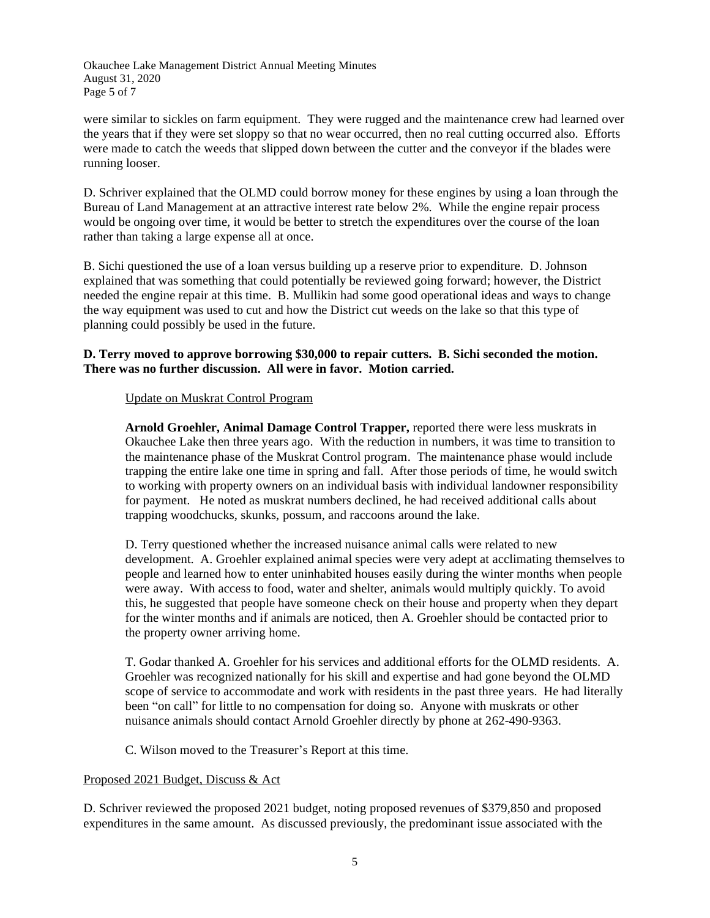Okauchee Lake Management District Annual Meeting Minutes August 31, 2020 Page 5 of 7

were similar to sickles on farm equipment. They were rugged and the maintenance crew had learned over the years that if they were set sloppy so that no wear occurred, then no real cutting occurred also. Efforts were made to catch the weeds that slipped down between the cutter and the conveyor if the blades were running looser.

D. Schriver explained that the OLMD could borrow money for these engines by using a loan through the Bureau of Land Management at an attractive interest rate below 2%. While the engine repair process would be ongoing over time, it would be better to stretch the expenditures over the course of the loan rather than taking a large expense all at once.

B. Sichi questioned the use of a loan versus building up a reserve prior to expenditure. D. Johnson explained that was something that could potentially be reviewed going forward; however, the District needed the engine repair at this time. B. Mullikin had some good operational ideas and ways to change the way equipment was used to cut and how the District cut weeds on the lake so that this type of planning could possibly be used in the future.

## **D. Terry moved to approve borrowing \$30,000 to repair cutters. B. Sichi seconded the motion. There was no further discussion. All were in favor. Motion carried.**

## Update on Muskrat Control Program

**Arnold Groehler, Animal Damage Control Trapper,** reported there were less muskrats in Okauchee Lake then three years ago. With the reduction in numbers, it was time to transition to the maintenance phase of the Muskrat Control program. The maintenance phase would include trapping the entire lake one time in spring and fall. After those periods of time, he would switch to working with property owners on an individual basis with individual landowner responsibility for payment. He noted as muskrat numbers declined, he had received additional calls about trapping woodchucks, skunks, possum, and raccoons around the lake.

D. Terry questioned whether the increased nuisance animal calls were related to new development. A. Groehler explained animal species were very adept at acclimating themselves to people and learned how to enter uninhabited houses easily during the winter months when people were away. With access to food, water and shelter, animals would multiply quickly. To avoid this, he suggested that people have someone check on their house and property when they depart for the winter months and if animals are noticed, then A. Groehler should be contacted prior to the property owner arriving home.

T. Godar thanked A. Groehler for his services and additional efforts for the OLMD residents. A. Groehler was recognized nationally for his skill and expertise and had gone beyond the OLMD scope of service to accommodate and work with residents in the past three years. He had literally been "on call" for little to no compensation for doing so. Anyone with muskrats or other nuisance animals should contact Arnold Groehler directly by phone at 262-490-9363.

C. Wilson moved to the Treasurer's Report at this time.

## Proposed 2021 Budget, Discuss & Act

D. Schriver reviewed the proposed 2021 budget, noting proposed revenues of \$379,850 and proposed expenditures in the same amount. As discussed previously, the predominant issue associated with the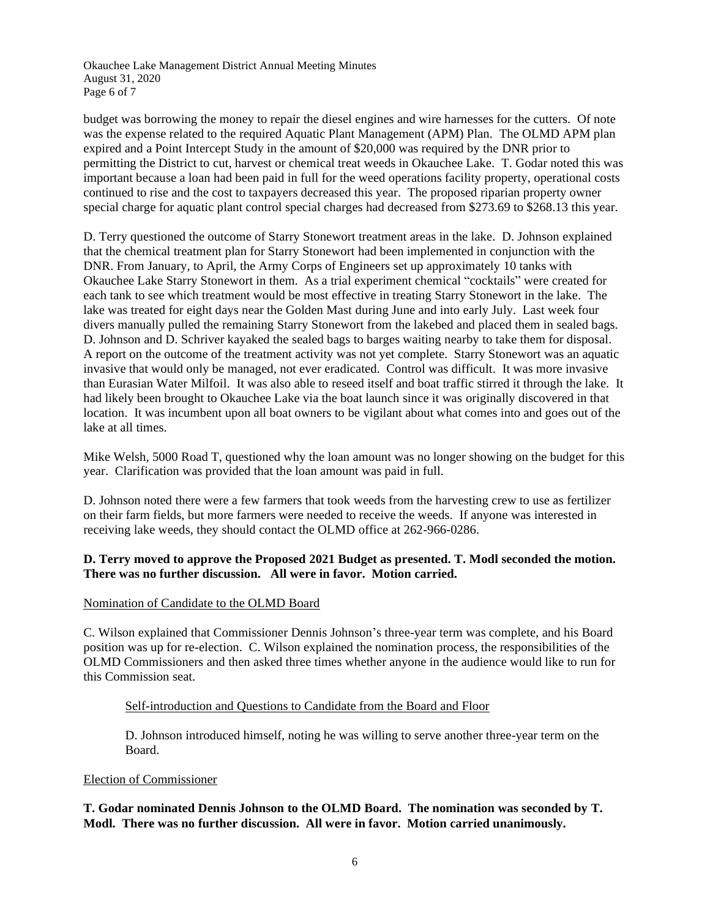Okauchee Lake Management District Annual Meeting Minutes August 31, 2020 Page 6 of 7

budget was borrowing the money to repair the diesel engines and wire harnesses for the cutters. Of note was the expense related to the required Aquatic Plant Management (APM) Plan. The OLMD APM plan expired and a Point Intercept Study in the amount of \$20,000 was required by the DNR prior to permitting the District to cut, harvest or chemical treat weeds in Okauchee Lake. T. Godar noted this was important because a loan had been paid in full for the weed operations facility property, operational costs continued to rise and the cost to taxpayers decreased this year. The proposed riparian property owner special charge for aquatic plant control special charges had decreased from \$273.69 to \$268.13 this year.

D. Terry questioned the outcome of Starry Stonewort treatment areas in the lake. D. Johnson explained that the chemical treatment plan for Starry Stonewort had been implemented in conjunction with the DNR. From January, to April, the Army Corps of Engineers set up approximately 10 tanks with Okauchee Lake Starry Stonewort in them. As a trial experiment chemical "cocktails" were created for each tank to see which treatment would be most effective in treating Starry Stonewort in the lake. The lake was treated for eight days near the Golden Mast during June and into early July. Last week four divers manually pulled the remaining Starry Stonewort from the lakebed and placed them in sealed bags. D. Johnson and D. Schriver kayaked the sealed bags to barges waiting nearby to take them for disposal. A report on the outcome of the treatment activity was not yet complete. Starry Stonewort was an aquatic invasive that would only be managed, not ever eradicated. Control was difficult. It was more invasive than Eurasian Water Milfoil. It was also able to reseed itself and boat traffic stirred it through the lake. It had likely been brought to Okauchee Lake via the boat launch since it was originally discovered in that location. It was incumbent upon all boat owners to be vigilant about what comes into and goes out of the lake at all times.

Mike Welsh, 5000 Road T, questioned why the loan amount was no longer showing on the budget for this year. Clarification was provided that the loan amount was paid in full.

D. Johnson noted there were a few farmers that took weeds from the harvesting crew to use as fertilizer on their farm fields, but more farmers were needed to receive the weeds. If anyone was interested in receiving lake weeds, they should contact the OLMD office at 262-966-0286.

## **D. Terry moved to approve the Proposed 2021 Budget as presented. T. Modl seconded the motion. There was no further discussion. All were in favor. Motion carried.**

## Nomination of Candidate to the OLMD Board

C. Wilson explained that Commissioner Dennis Johnson's three-year term was complete, and his Board position was up for re-election. C. Wilson explained the nomination process, the responsibilities of the OLMD Commissioners and then asked three times whether anyone in the audience would like to run for this Commission seat.

#### Self-introduction and Questions to Candidate from the Board and Floor

D. Johnson introduced himself, noting he was willing to serve another three-year term on the Board.

#### Election of Commissioner

## **T. Godar nominated Dennis Johnson to the OLMD Board. The nomination was seconded by T. Modl. There was no further discussion. All were in favor. Motion carried unanimously.**